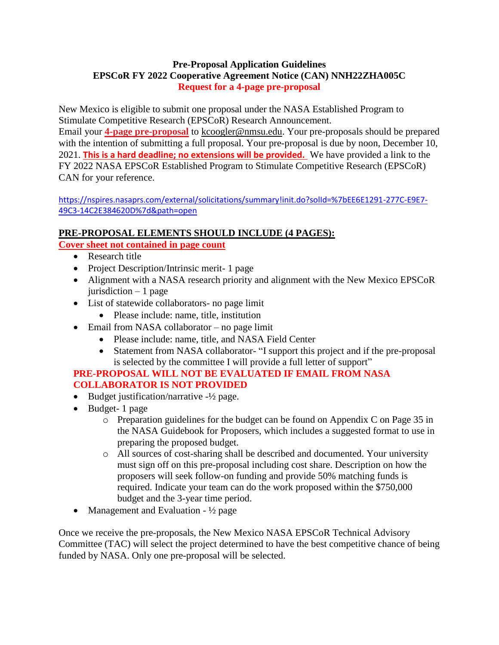#### **Pre-Proposal Application Guidelines EPSCoR FY 2022 Cooperative Agreement Notice (CAN) NNH22ZHA005C Request for a 4-page pre-proposal**

New Mexico is eligible to submit one proposal under the NASA Established Program to Stimulate Competitive Research (EPSCoR) Research Announcement. Email your **4-page pre-proposal** to [kcoogler@nmsu.edu.](mailto:kcoogler@nmsu.edu) Your pre-proposals should be prepared with the intention of submitting a full proposal. Your pre-proposal is due by noon, December 10, 2021. **This is a hard deadline; no extensions will be provided.** We have provided a link to the FY 2022 NASA EPSCoR Established Program to Stimulate Competitive Research (EPSCoR)

CAN for your reference.

[https://nspires.nasaprs.com/external/solicitations/summary!init.do?solId=%7bEE6E1291-277C-E9E7-](https://nspires.nasaprs.com/external/solicitations/summary!init.do?solId=%7bEE6E1291-277C-E9E7-49C3-14C2E384620D%7d&path=open) [49C3-14C2E384620D%7d&path=open](https://nspires.nasaprs.com/external/solicitations/summary!init.do?solId=%7bEE6E1291-277C-E9E7-49C3-14C2E384620D%7d&path=open)

# **PRE-PROPOSAL ELEMENTS SHOULD INCLUDE (4 PAGES):**

## **Cover sheet not contained in page count**

- Research title
- Project Description/Intrinsic merit- 1 page
- Alignment with a NASA research priority and alignment with the New Mexico EPSCoR jurisdiction  $-1$  page
- List of statewide collaborators- no page limit
	- Please include: name, title, institution
- $\bullet$  Email from NASA collaborator no page limit
	- Please include: name, title, and NASA Field Center
	- Statement from NASA collaborator- "I support this project and if the pre-proposal is selected by the committee I will provide a full letter of support"

## **PRE-PROPOSAL WILL NOT BE EVALUATED IF EMAIL FROM NASA COLLABORATOR IS NOT PROVIDED**

- $\bullet$  Budget justification/narrative  $-1/2$  page.
- Budget- 1 page
	- o Preparation guidelines for the budget can be found on Appendix C on Page 35 in the NASA Guidebook for Proposers, which includes a suggested format to use in preparing the proposed budget.
	- o All sources of cost-sharing shall be described and documented. Your university must sign off on this pre-proposal including cost share. Description on how the proposers will seek follow-on funding and provide 50% matching funds is required. Indicate your team can do the work proposed within the \$750,000 budget and the 3-year time period.
- Management and Evaluation  $\frac{1}{2}$  page

Once we receive the pre-proposals, the New Mexico NASA EPSCoR Technical Advisory Committee (TAC) will select the project determined to have the best competitive chance of being funded by NASA. Only one pre-proposal will be selected.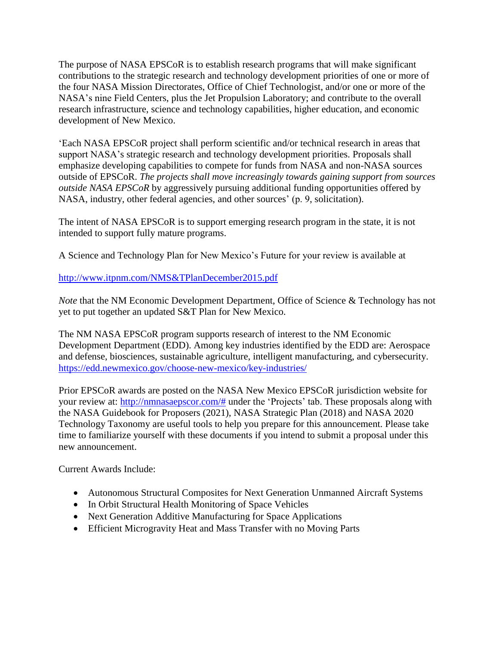The purpose of NASA EPSCoR is to establish research programs that will make significant contributions to the strategic research and technology development priorities of one or more of the four NASA Mission Directorates, Office of Chief Technologist, and/or one or more of the NASA's nine Field Centers, plus the Jet Propulsion Laboratory; and contribute to the overall research infrastructure, science and technology capabilities, higher education, and economic development of New Mexico.

'Each NASA EPSCoR project shall perform scientific and/or technical research in areas that support NASA's strategic research and technology development priorities. Proposals shall emphasize developing capabilities to compete for funds from NASA and non-NASA sources outside of EPSCoR. *The projects shall move increasingly towards gaining support from sources outside NASA EPSCoR* by aggressively pursuing additional funding opportunities offered by NASA, industry, other federal agencies, and other sources' (p. 9, solicitation).

The intent of NASA EPSCoR is to support emerging research program in the state, it is not intended to support fully mature programs.

A Science and Technology Plan for New Mexico's Future for your review is available at

## <http://www.itpnm.com/NMS&TPlanDecember2015.pdf>

*Note* that the NM Economic Development Department, Office of Science & Technology has not yet to put together an updated S&T Plan for New Mexico.

The NM NASA EPSCoR program supports research of interest to the NM Economic Development Department (EDD). Among key industries identified by the EDD are: Aerospace and defense, biosciences, sustainable agriculture, intelligent manufacturing, and cybersecurity. <https://edd.newmexico.gov/choose-new-mexico/key-industries/>

Prior EPSCoR awards are posted on the NASA New Mexico EPSCoR jurisdiction website for your review at: [http://nmnasaepscor.com/#](http://nmnasaepscor.com/) under the 'Projects' tab. These proposals along with the NASA Guidebook for Proposers (2021), NASA Strategic Plan (2018) and NASA 2020 Technology Taxonomy are useful tools to help you prepare for this announcement. Please take time to familiarize yourself with these documents if you intend to submit a proposal under this new announcement.

Current Awards Include:

- [Autonomous](http://www.nmspacegrant.com/infrared_development_for_insitu_organic_detection.php) Structural Composites for Next Generation Unmanned Aircraft Systems
- In Orbit Structural Health Monitoring of Space Vehicles
- Next Generation Additive Manufacturing for Space Applications
- Efficient Microgravity Heat and Mass Transfer with no Moving Parts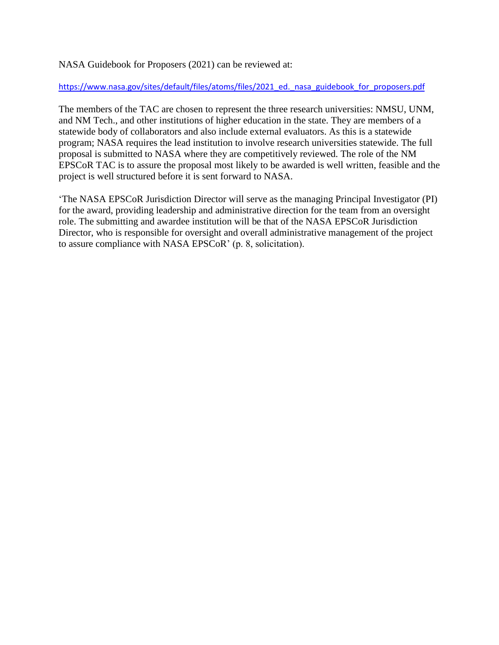#### NASA Guidebook for Proposers (2021) can be reviewed at:

[https://www.nasa.gov/sites/default/files/atoms/files/2021\\_ed.\\_nasa\\_guidebook\\_for\\_proposers.pdf](https://www.nasa.gov/sites/default/files/atoms/files/2021_ed._nasa_guidebook_for_proposers.pdf)

The members of the TAC are chosen to represent the three research universities: NMSU, UNM, and NM Tech., and other institutions of higher education in the state. They are members of a statewide body of collaborators and also include external evaluators. As this is a statewide program; NASA requires the lead institution to involve research universities statewide. The full proposal is submitted to NASA where they are competitively reviewed. The role of the NM EPSCoR TAC is to assure the proposal most likely to be awarded is well written, feasible and the project is well structured before it is sent forward to NASA.

'The NASA EPSCoR Jurisdiction Director will serve as the managing Principal Investigator (PI) for the award, providing leadership and administrative direction for the team from an oversight role. The submitting and awardee institution will be that of the NASA EPSCoR Jurisdiction Director, who is responsible for oversight and overall administrative management of the project to assure compliance with NASA EPSCoR' (p. 8, solicitation).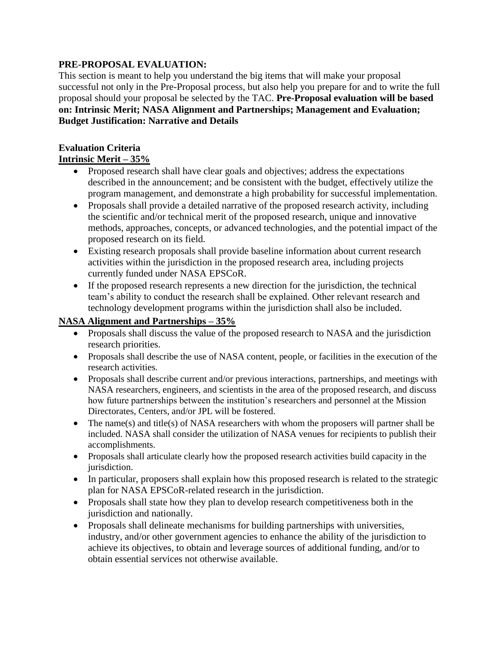#### **PRE-PROPOSAL EVALUATION:**

This section is meant to help you understand the big items that will make your proposal successful not only in the Pre-Proposal process, but also help you prepare for and to write the full proposal should your proposal be selected by the TAC. **Pre-Proposal evaluation will be based on: Intrinsic Merit; NASA Alignment and Partnerships; Management and Evaluation; Budget Justification: Narrative and Details**

# **Evaluation Criteria**

# **Intrinsic Merit – 35%**

- Proposed research shall have clear goals and objectives; address the expectations described in the announcement; and be consistent with the budget, effectively utilize the program management, and demonstrate a high probability for successful implementation.
- Proposals shall provide a detailed narrative of the proposed research activity, including the scientific and/or technical merit of the proposed research, unique and innovative methods, approaches, concepts, or advanced technologies, and the potential impact of the proposed research on its field.
- Existing research proposals shall provide baseline information about current research activities within the jurisdiction in the proposed research area, including projects currently funded under NASA EPSCoR.
- If the proposed research represents a new direction for the jurisdiction, the technical team's ability to conduct the research shall be explained. Other relevant research and technology development programs within the jurisdiction shall also be included.

### **NASA Alignment and Partnerships – 35%**

- Proposals shall discuss the value of the proposed research to NASA and the jurisdiction research priorities.
- Proposals shall describe the use of NASA content, people, or facilities in the execution of the research activities.
- Proposals shall describe current and/or previous interactions, partnerships, and meetings with NASA researchers, engineers, and scientists in the area of the proposed research, and discuss how future partnerships between the institution's researchers and personnel at the Mission Directorates, Centers, and/or JPL will be fostered.
- The name(s) and title(s) of NASA researchers with whom the proposers will partner shall be included. NASA shall consider the utilization of NASA venues for recipients to publish their accomplishments.
- Proposals shall articulate clearly how the proposed research activities build capacity in the jurisdiction.
- In particular, proposers shall explain how this proposed research is related to the strategic plan for NASA EPSCoR-related research in the jurisdiction.
- Proposals shall state how they plan to develop research competitiveness both in the jurisdiction and nationally.
- Proposals shall delineate mechanisms for building partnerships with universities, industry, and/or other government agencies to enhance the ability of the jurisdiction to achieve its objectives, to obtain and leverage sources of additional funding, and/or to obtain essential services not otherwise available.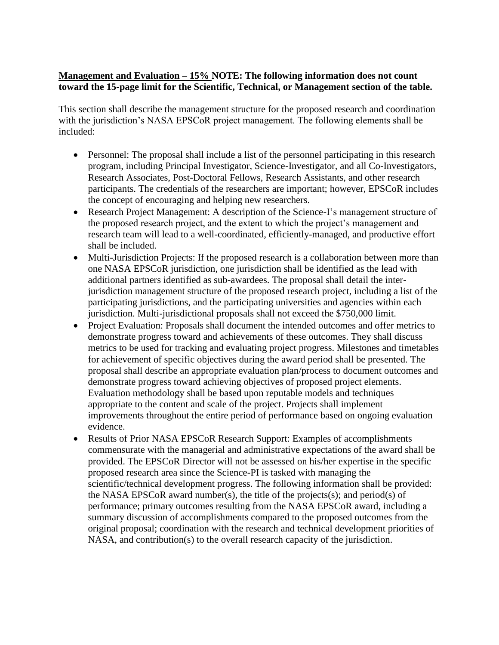## **Management and Evaluation – 15% NOTE: The following information does not count toward the 15-page limit for the Scientific, Technical, or Management section of the table.**

This section shall describe the management structure for the proposed research and coordination with the jurisdiction's NASA EPSCoR project management. The following elements shall be included:

- Personnel: The proposal shall include a list of the personnel participating in this research program, including Principal Investigator, Science-Investigator, and all Co-Investigators, Research Associates, Post-Doctoral Fellows, Research Assistants, and other research participants. The credentials of the researchers are important; however, EPSCoR includes the concept of encouraging and helping new researchers.
- Research Project Management: A description of the Science-I's management structure of the proposed research project, and the extent to which the project's management and research team will lead to a well-coordinated, efficiently-managed, and productive effort shall be included.
- Multi-Jurisdiction Projects: If the proposed research is a collaboration between more than one NASA EPSCoR jurisdiction, one jurisdiction shall be identified as the lead with additional partners identified as sub-awardees. The proposal shall detail the interjurisdiction management structure of the proposed research project, including a list of the participating jurisdictions, and the participating universities and agencies within each jurisdiction. Multi-jurisdictional proposals shall not exceed the \$750,000 limit.
- Project Evaluation: Proposals shall document the intended outcomes and offer metrics to demonstrate progress toward and achievements of these outcomes. They shall discuss metrics to be used for tracking and evaluating project progress. Milestones and timetables for achievement of specific objectives during the award period shall be presented. The proposal shall describe an appropriate evaluation plan/process to document outcomes and demonstrate progress toward achieving objectives of proposed project elements. Evaluation methodology shall be based upon reputable models and techniques appropriate to the content and scale of the project. Projects shall implement improvements throughout the entire period of performance based on ongoing evaluation evidence.
- Results of Prior NASA EPSCoR Research Support: Examples of accomplishments commensurate with the managerial and administrative expectations of the award shall be provided. The EPSCoR Director will not be assessed on his/her expertise in the specific proposed research area since the Science-PI is tasked with managing the scientific/technical development progress. The following information shall be provided: the NASA EPSCoR award number(s), the title of the projects(s); and period(s) of performance; primary outcomes resulting from the NASA EPSCoR award, including a summary discussion of accomplishments compared to the proposed outcomes from the original proposal; coordination with the research and technical development priorities of NASA, and contribution(s) to the overall research capacity of the jurisdiction.